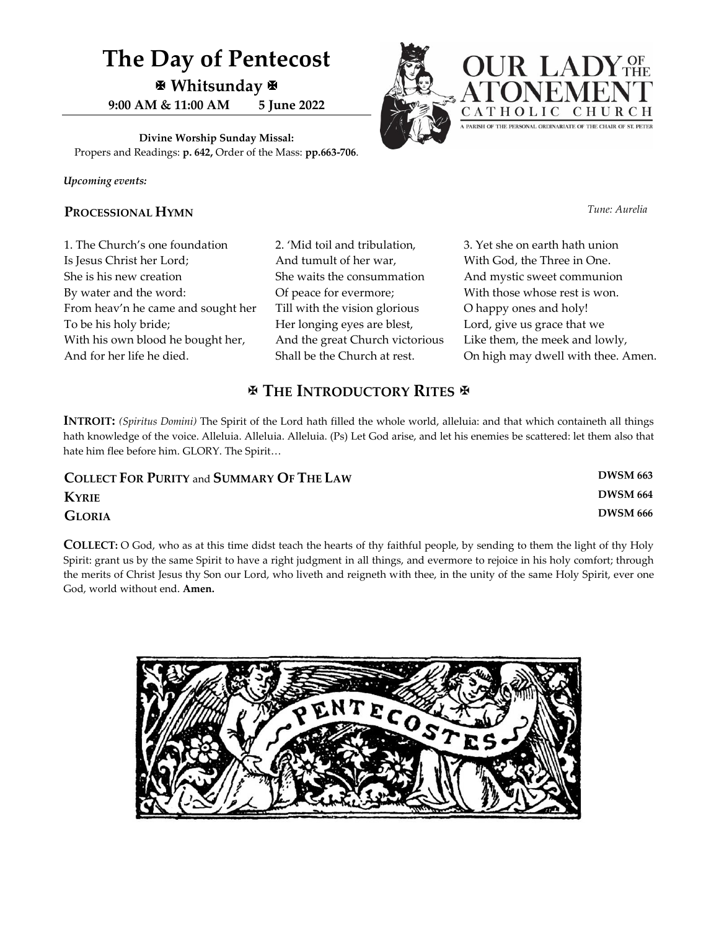## **The Day of Pentecost Whitsunday 9:00 AM & 11:00 AM 5 June 2022**

**Divine Worship Sunday Missal:** Propers and Readings: **p. 642,** Order of the Mass: **pp.663-706**.

*Upcoming events:*

#### **PROCESSIONAL HYMN** *Tune: Aurelia*

1. The Church's one foundation Is Jesus Christ her Lord; She is his new creation By water and the word: From heav'n he came and sought her To be his holy bride; With his own blood he bought her, And for her life he died.

2. 'Mid toil and tribulation, And tumult of her war, She waits the consummation Of peace for evermore; Till with the vision glorious Her longing eyes are blest, And the great Church victorious Shall be the Church at rest.

#### 3. Yet she on earth hath union With God, the Three in One. And mystic sweet communion With those whose rest is won. O happy ones and holy! Lord, give us grace that we Like them, the meek and lowly, On high may dwell with thee. Amen.

## **THE INTRODUCTORY RITES**

**INTROIT:** *(Spiritus Domini)* The Spirit of the Lord hath filled the whole world, alleluia: and that which containeth all things hath knowledge of the voice. Alleluia. Alleluia. Alleluia. (Ps) Let God arise, and let his enemies be scattered: let them also that hate him flee before him. GLORY. The Spirit…

| <b>COLLECT FOR PURITY and SUMMARY OF THE LAW</b> | <b>DWSM 663</b> |
|--------------------------------------------------|-----------------|
| <b>KYRIE</b>                                     | <b>DWSM 664</b> |
| <b>GLORIA</b>                                    | <b>DWSM 666</b> |

**COLLECT:** O God, who as at this time didst teach the hearts of thy faithful people, by sending to them the light of thy Holy Spirit: grant us by the same Spirit to have a right judgment in all things, and evermore to rejoice in his holy comfort; through the merits of Christ Jesus thy Son our Lord, who liveth and reigneth with thee, in the unity of the same Holy Spirit, ever one God, world without end. **Amen.**



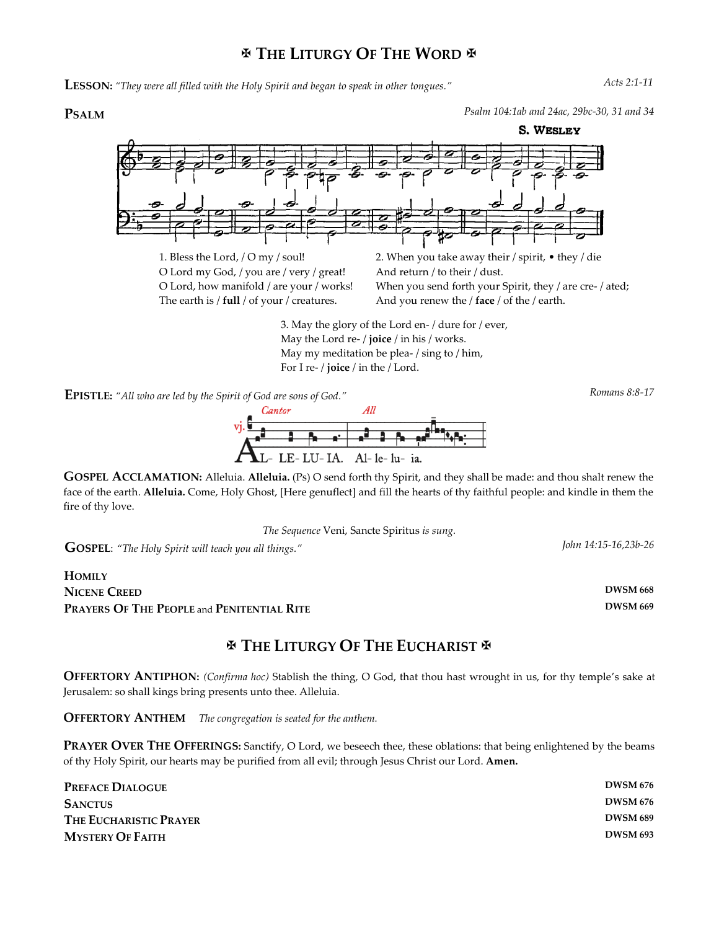## **THE LITURGY OF THE WORD**

**LESSON:** *"They were all filled with the Holy Spirit and began to speak in other tongues." Acts 2:1-11*

**PSALM** *Psalm 104:1ab and 24ac, 29bc-30, 31 and 34*



All Cantor vj. LE-LU-IA. Al-le-lu- ia.

**GOSPEL ACCLAMATION:** Alleluia. **Alleluia.** (Ps) O send forth thy Spirit, and they shall be made: and thou shalt renew the face of the earth. **Alleluia.** Come, Holy Ghost, [Here genuflect] and fill the hearts of thy faithful people: and kindle in them the fire of thy love.

*The Sequence* Veni, Sancte Spiritus *is sung.*

**GOSPEL**: *"The Holy Spirit will teach you all things." John 14:15-16,23b-26*

#### **HOMILY NICENE CREED DWSM 668 PRAYERS OF THE PEOPLE** and **PENITENTIAL RITE DWSM 669**

## **THE LITURGY OF THE EUCHARIST**

**OFFERTORY ANTIPHON:** *(Confirma hoc)* Stablish the thing, O God, that thou hast wrought in us, for thy temple's sake at Jerusalem: so shall kings bring presents unto thee. Alleluia.

**OFFERTORY ANTHEM** *The congregation is seated for the anthem.* 

**PRAYER OVER THE OFFERINGS:** Sanctify, O Lord, we beseech thee, these oblations: that being enlightened by the beams of thy Holy Spirit, our hearts may be purified from all evil; through Jesus Christ our Lord. **Amen.**

| <b>PREFACE DIALOGUE</b> | <b>DWSM 676</b> |
|-------------------------|-----------------|
| <b>SANCTUS</b>          | <b>DWSM 676</b> |
| THE EUCHARISTIC PRAYER  | <b>DWSM 689</b> |
| <b>MYSTERY OF FAITH</b> | <b>DWSM 693</b> |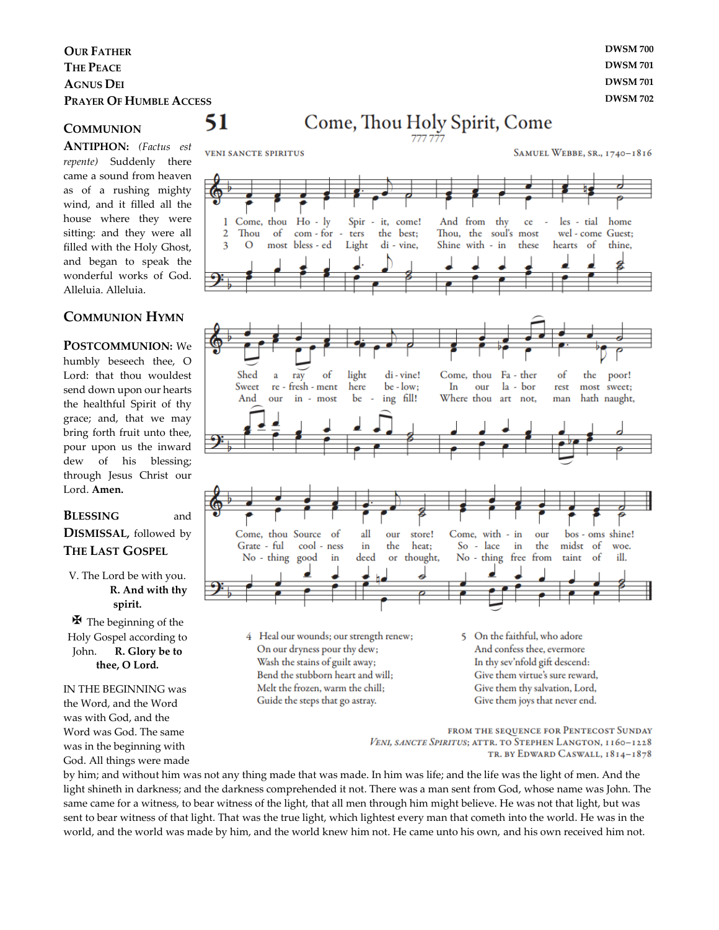#### **OUR FATHER DWSM 700 THE PEACE DWSM 701 AGNUS DEI DWSM 701 PRAYER OF HUMBLE ACCESS DWSM 702**

51

#### **COMMUNION**

**ANTIPHON:** *(Factus est repente)* Suddenly there came a sound from heaven as of a rushing mighty wind, and it filled all the house where they were sitting: and they were all filled with the Holy Ghost, and began to speak the wonderful works of God. Alleluia. Alleluia.

#### **COMMUNION HYMN**

**POSTCOMMUNION:** We humbly beseech thee, O Lord: that thou wouldest send down upon our hearts the healthful Spirit of thy grace; and, that we may bring forth fruit unto thee, pour upon us the inward dew of his blessing; through Jesus Christ our Lord. **Amen.**

#### **BLESSING** and **DISMISSAL,** followed by

## **THE LAST GOSPEL**

#### V. The Lord be with you. **R. And with thy spirit.**

 $\mathbf{\Psi}$  The beginning of the Holy Gospel according to John. **R. Glory be to thee, O Lord.**

IN THE BEGINNING was the Word, and the Word was with God, and the Word was God. The same was in the beginning with God. All things were made

# Come, Thou Holy Spirit, Come



FROM THE SEQUENCE FOR PENTECOST SUNDAY

VENI, SANCTE SPIRITUS; ATTR. TO STEPHEN LANGTON, 1160-1228 TR. BY EDWARD CASWALL, 1814-1878

by him; and without him was not any thing made that was made. In him was life; and the life was the light of men. And the light shineth in darkness; and the darkness comprehended it not. There was a man sent from God, whose name was John. The same came for a witness, to bear witness of the light, that all men through him might believe. He was not that light, but was sent to bear witness of that light. That was the true light, which lightest every man that cometh into the world. He was in the world, and the world was made by him, and the world knew him not. He came unto his own, and his own received him not.